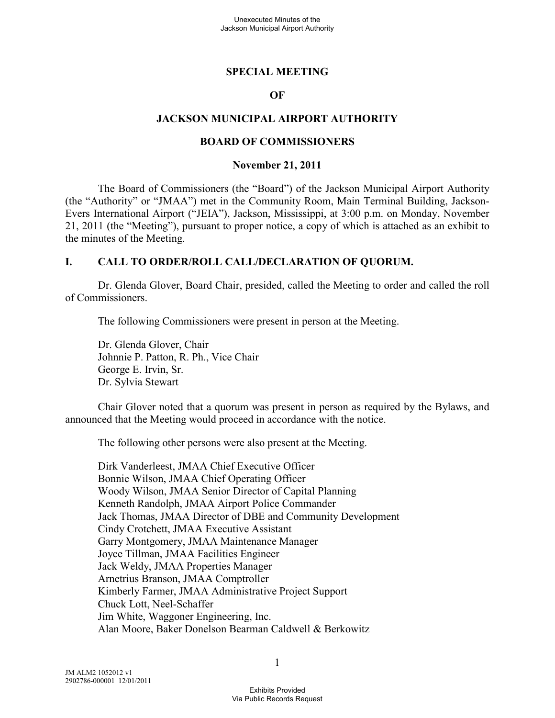### **SPECIAL MEETING**

#### **OF**

### **JACKSON MUNICIPAL AIRPORT AUTHORITY**

#### **BOARD OF COMMISSIONERS**

#### **November 21, 2011**

The Board of Commissioners (the "Board") of the Jackson Municipal Airport Authority (the "Authority" or "JMAA") met in the Community Room, Main Terminal Building, Jackson-Evers International Airport ("JEIA"), Jackson, Mississippi, at 3:00 p.m. on Monday, November 21, 2011 (the "Meeting"), pursuant to proper notice, a copy of which is attached as an exhibit to the minutes of the Meeting.

#### **I. CALL TO ORDER/ROLL CALL/DECLARATION OF QUORUM.**

Dr. Glenda Glover, Board Chair, presided, called the Meeting to order and called the roll of Commissioners.

The following Commissioners were present in person at the Meeting.

Dr. Glenda Glover, Chair Johnnie P. Patton, R. Ph., Vice Chair George E. Irvin, Sr. Dr. Sylvia Stewart

Chair Glover noted that a quorum was present in person as required by the Bylaws, and announced that the Meeting would proceed in accordance with the notice.

The following other persons were also present at the Meeting.

Dirk Vanderleest, JMAA Chief Executive Officer Bonnie Wilson, JMAA Chief Operating Officer Woody Wilson, JMAA Senior Director of Capital Planning Kenneth Randolph, JMAA Airport Police Commander Jack Thomas, JMAA Director of DBE and Community Development Cindy Crotchett, JMAA Executive Assistant Garry Montgomery, JMAA Maintenance Manager Joyce Tillman, JMAA Facilities Engineer Jack Weldy, JMAA Properties Manager Arnetrius Branson, JMAA Comptroller Kimberly Farmer, JMAA Administrative Project Support Chuck Lott, Neel-Schaffer Jim White, Waggoner Engineering, Inc. Alan Moore, Baker Donelson Bearman Caldwell & Berkowitz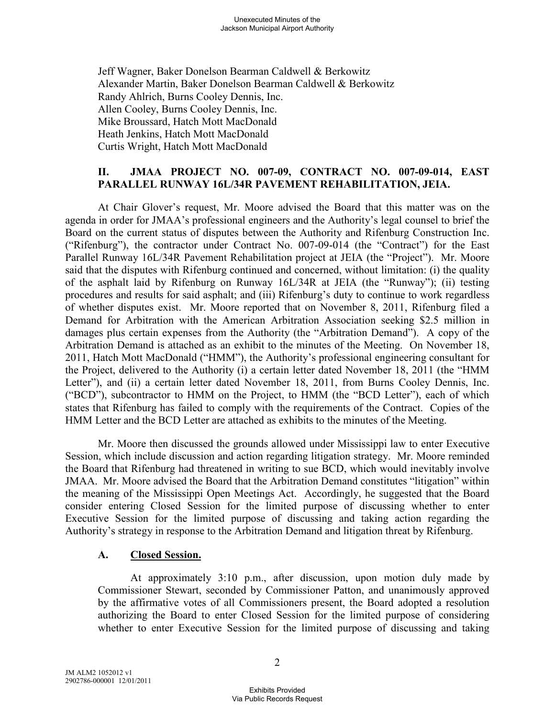Jeff Wagner, Baker Donelson Bearman Caldwell & Berkowitz Alexander Martin, Baker Donelson Bearman Caldwell & Berkowitz Randy Ahlrich, Burns Cooley Dennis, Inc. Allen Cooley, Burns Cooley Dennis, Inc. Mike Broussard, Hatch Mott MacDonald Heath Jenkins, Hatch Mott MacDonald Curtis Wright, Hatch Mott MacDonald

### **II. JMAA PROJECT NO. 007-09, CONTRACT NO. 007-09-014, EAST PARALLEL RUNWAY 16L/34R PAVEMENT REHABILITATION, JEIA.**

 At Chair Glover's request, Mr. Moore advised the Board that this matter was on the agenda in order for JMAA's professional engineers and the Authority's legal counsel to brief the Board on the current status of disputes between the Authority and Rifenburg Construction Inc. ("Rifenburg"), the contractor under Contract No. 007-09-014 (the "Contract") for the East Parallel Runway 16L/34R Pavement Rehabilitation project at JEIA (the "Project"). Mr. Moore said that the disputes with Rifenburg continued and concerned, without limitation: (i) the quality of the asphalt laid by Rifenburg on Runway 16L/34R at JEIA (the "Runway"); (ii) testing procedures and results for said asphalt; and (iii) Rifenburg's duty to continue to work regardless of whether disputes exist. Mr. Moore reported that on November 8, 2011, Rifenburg filed a Demand for Arbitration with the American Arbitration Association seeking \$2.5 million in damages plus certain expenses from the Authority (the "Arbitration Demand"). A copy of the Arbitration Demand is attached as an exhibit to the minutes of the Meeting. On November 18, 2011, Hatch Mott MacDonald ("HMM"), the Authority's professional engineering consultant for the Project, delivered to the Authority (i) a certain letter dated November 18, 2011 (the "HMM Letter"), and (ii) a certain letter dated November 18, 2011, from Burns Cooley Dennis, Inc. ("BCD"), subcontractor to HMM on the Project, to HMM (the "BCD Letter"), each of which states that Rifenburg has failed to comply with the requirements of the Contract. Copies of the HMM Letter and the BCD Letter are attached as exhibits to the minutes of the Meeting.

Mr. Moore then discussed the grounds allowed under Mississippi law to enter Executive Session, which include discussion and action regarding litigation strategy. Mr. Moore reminded the Board that Rifenburg had threatened in writing to sue BCD, which would inevitably involve JMAA. Mr. Moore advised the Board that the Arbitration Demand constitutes "litigation" within the meaning of the Mississippi Open Meetings Act. Accordingly, he suggested that the Board consider entering Closed Session for the limited purpose of discussing whether to enter Executive Session for the limited purpose of discussing and taking action regarding the Authority's strategy in response to the Arbitration Demand and litigation threat by Rifenburg.

#### **A. Closed Session.**

At approximately 3:10 p.m., after discussion, upon motion duly made by Commissioner Stewart, seconded by Commissioner Patton, and unanimously approved by the affirmative votes of all Commissioners present, the Board adopted a resolution authorizing the Board to enter Closed Session for the limited purpose of considering whether to enter Executive Session for the limited purpose of discussing and taking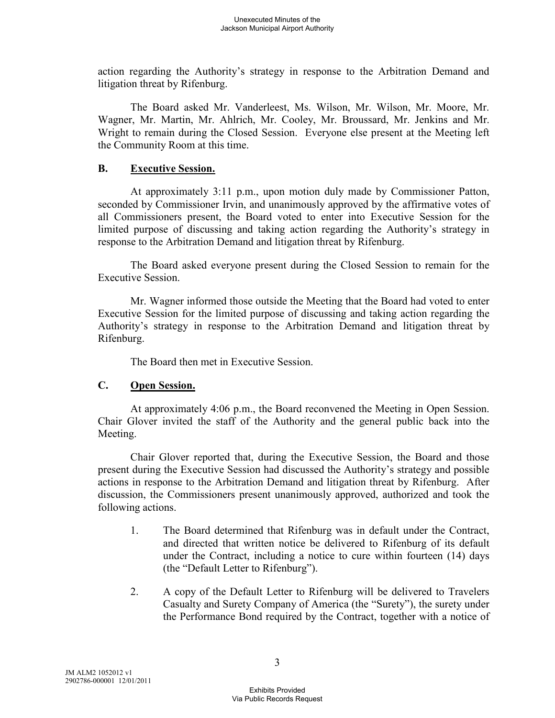action regarding the Authority's strategy in response to the Arbitration Demand and litigation threat by Rifenburg.

The Board asked Mr. Vanderleest, Ms. Wilson, Mr. Wilson, Mr. Moore, Mr. Wagner, Mr. Martin, Mr. Ahlrich, Mr. Cooley, Mr. Broussard, Mr. Jenkins and Mr. Wright to remain during the Closed Session. Everyone else present at the Meeting left the Community Room at this time.

### **B. Executive Session.**

At approximately 3:11 p.m., upon motion duly made by Commissioner Patton, seconded by Commissioner Irvin, and unanimously approved by the affirmative votes of all Commissioners present, the Board voted to enter into Executive Session for the limited purpose of discussing and taking action regarding the Authority's strategy in response to the Arbitration Demand and litigation threat by Rifenburg.

The Board asked everyone present during the Closed Session to remain for the Executive Session.

Mr. Wagner informed those outside the Meeting that the Board had voted to enter Executive Session for the limited purpose of discussing and taking action regarding the Authority's strategy in response to the Arbitration Demand and litigation threat by Rifenburg.

The Board then met in Executive Session.

## **C. Open Session.**

At approximately 4:06 p.m., the Board reconvened the Meeting in Open Session. Chair Glover invited the staff of the Authority and the general public back into the Meeting.

Chair Glover reported that, during the Executive Session, the Board and those present during the Executive Session had discussed the Authority's strategy and possible actions in response to the Arbitration Demand and litigation threat by Rifenburg. After discussion, the Commissioners present unanimously approved, authorized and took the following actions.

- 1. The Board determined that Rifenburg was in default under the Contract, and directed that written notice be delivered to Rifenburg of its default under the Contract, including a notice to cure within fourteen (14) days (the "Default Letter to Rifenburg").
- 2. A copy of the Default Letter to Rifenburg will be delivered to Travelers Casualty and Surety Company of America (the "Surety"), the surety under the Performance Bond required by the Contract, together with a notice of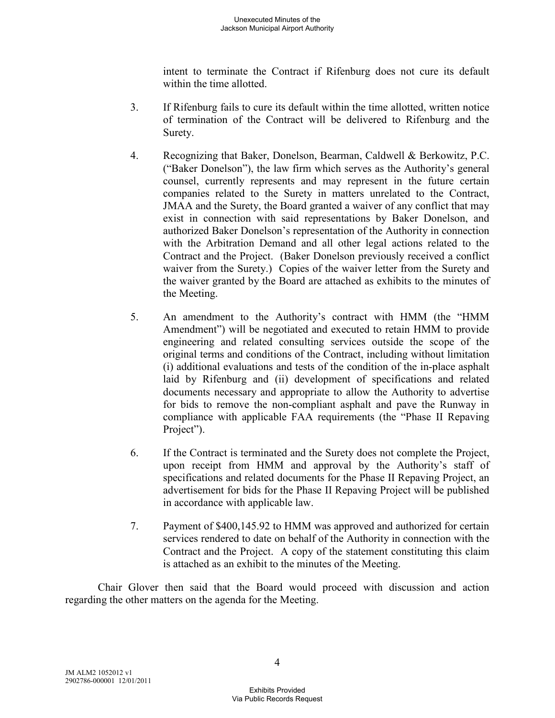intent to terminate the Contract if Rifenburg does not cure its default within the time allotted.

- 3. If Rifenburg fails to cure its default within the time allotted, written notice of termination of the Contract will be delivered to Rifenburg and the Surety.
- 4. Recognizing that Baker, Donelson, Bearman, Caldwell & Berkowitz, P.C. ("Baker Donelson"), the law firm which serves as the Authority's general counsel, currently represents and may represent in the future certain companies related to the Surety in matters unrelated to the Contract, JMAA and the Surety, the Board granted a waiver of any conflict that may exist in connection with said representations by Baker Donelson, and authorized Baker Donelson's representation of the Authority in connection with the Arbitration Demand and all other legal actions related to the Contract and the Project. (Baker Donelson previously received a conflict waiver from the Surety.) Copies of the waiver letter from the Surety and the waiver granted by the Board are attached as exhibits to the minutes of the Meeting.
- 5. An amendment to the Authority's contract with HMM (the "HMM Amendment") will be negotiated and executed to retain HMM to provide engineering and related consulting services outside the scope of the original terms and conditions of the Contract, including without limitation (i) additional evaluations and tests of the condition of the in-place asphalt laid by Rifenburg and (ii) development of specifications and related documents necessary and appropriate to allow the Authority to advertise for bids to remove the non-compliant asphalt and pave the Runway in compliance with applicable FAA requirements (the "Phase II Repaving Project").
- 6. If the Contract is terminated and the Surety does not complete the Project, upon receipt from HMM and approval by the Authority's staff of specifications and related documents for the Phase II Repaving Project, an advertisement for bids for the Phase II Repaving Project will be published in accordance with applicable law.
- 7. Payment of \$400,145.92 to HMM was approved and authorized for certain services rendered to date on behalf of the Authority in connection with the Contract and the Project. A copy of the statement constituting this claim is attached as an exhibit to the minutes of the Meeting.

Chair Glover then said that the Board would proceed with discussion and action regarding the other matters on the agenda for the Meeting.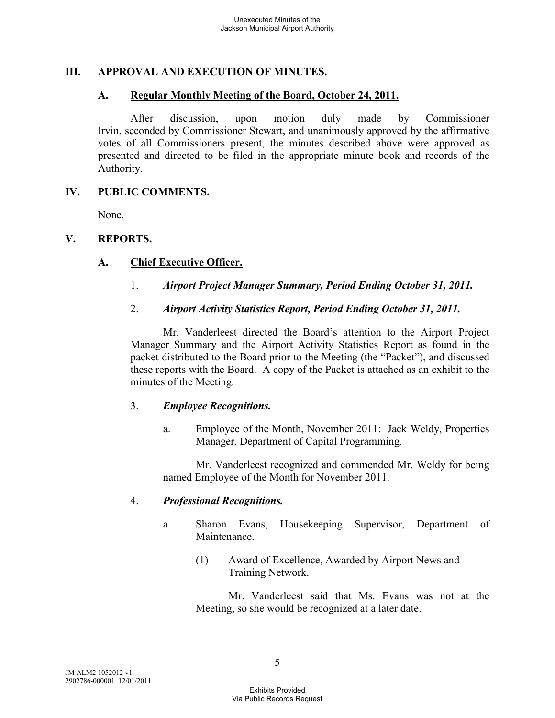## **III. APPROVAL AND EXECUTION OF MINUTES.**

### **A. Regular Monthly Meeting of the Board, October 24, 2011.**

After discussion, upon motion duly made by Commissioner Irvin, seconded by Commissioner Stewart, and unanimously approved by the affirmative votes of all Commissioners present, the minutes described above were approved as presented and directed to be filed in the appropriate minute book and records of the Authority.

### **IV. PUBLIC COMMENTS.**

None.

### **V. REPORTS.**

### **A. Chief Executive Officer.**

- 1. *Airport Project Manager Summary, Period Ending October 31, 2011.*
- 2. *Airport Activity Statistics Report, Period Ending October 31, 2011.*

Mr. Vanderleest directed the Board's attention to the Airport Project Manager Summary and the Airport Activity Statistics Report as found in the packet distributed to the Board prior to the Meeting (the "Packet"), and discussed these reports with the Board. A copy of the Packet is attached as an exhibit to the minutes of the Meeting.

#### 3. *Employee Recognitions.*

a. Employee of the Month, November 2011: Jack Weldy, Properties Manager, Department of Capital Programming.

Mr. Vanderleest recognized and commended Mr. Weldy for being named Employee of the Month for November 2011.

#### 4. *Professional Recognitions.*

- a. Sharon Evans, Housekeeping Supervisor, Department of **Maintenance** 
	- (1) Award of Excellence, Awarded by Airport News and Training Network.

Mr. Vanderleest said that Ms. Evans was not at the Meeting, so she would be recognized at a later date.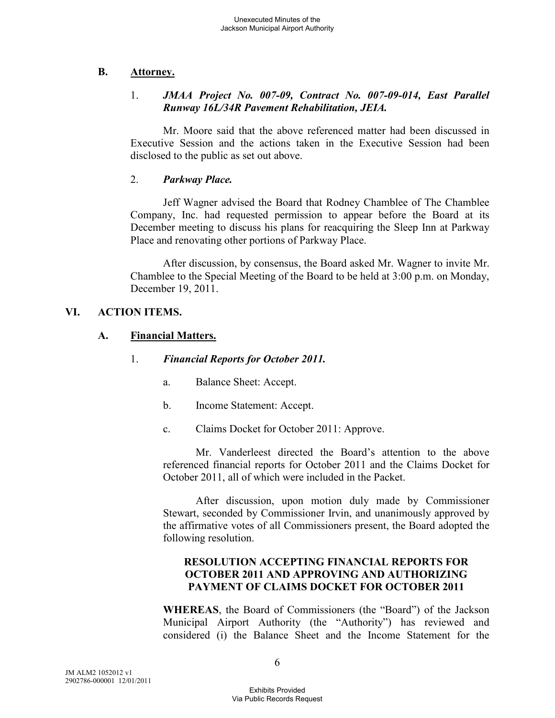## **B. Attorney.**

## 1. *JMAA Project No. 007-09, Contract No. 007-09-014, East Parallel Runway 16L/34R Pavement Rehabilitation, JEIA.*

Mr. Moore said that the above referenced matter had been discussed in Executive Session and the actions taken in the Executive Session had been disclosed to the public as set out above.

#### 2. *Parkway Place.*

Jeff Wagner advised the Board that Rodney Chamblee of The Chamblee Company, Inc. had requested permission to appear before the Board at its December meeting to discuss his plans for reacquiring the Sleep Inn at Parkway Place and renovating other portions of Parkway Place.

After discussion, by consensus, the Board asked Mr. Wagner to invite Mr. Chamblee to the Special Meeting of the Board to be held at 3:00 p.m. on Monday, December 19, 2011.

## **VI. ACTION ITEMS.**

### **A. Financial Matters.**

### 1. *Financial Reports for October 2011.*

- a. Balance Sheet: Accept.
- b. Income Statement: Accept.
- c. Claims Docket for October 2011: Approve.

Mr. Vanderleest directed the Board's attention to the above referenced financial reports for October 2011 and the Claims Docket for October 2011, all of which were included in the Packet.

After discussion, upon motion duly made by Commissioner Stewart, seconded by Commissioner Irvin, and unanimously approved by the affirmative votes of all Commissioners present, the Board adopted the following resolution.

## **RESOLUTION ACCEPTING FINANCIAL REPORTS FOR OCTOBER 2011 AND APPROVING AND AUTHORIZING PAYMENT OF CLAIMS DOCKET FOR OCTOBER 2011**

**WHEREAS**, the Board of Commissioners (the "Board") of the Jackson Municipal Airport Authority (the "Authority") has reviewed and considered (i) the Balance Sheet and the Income Statement for the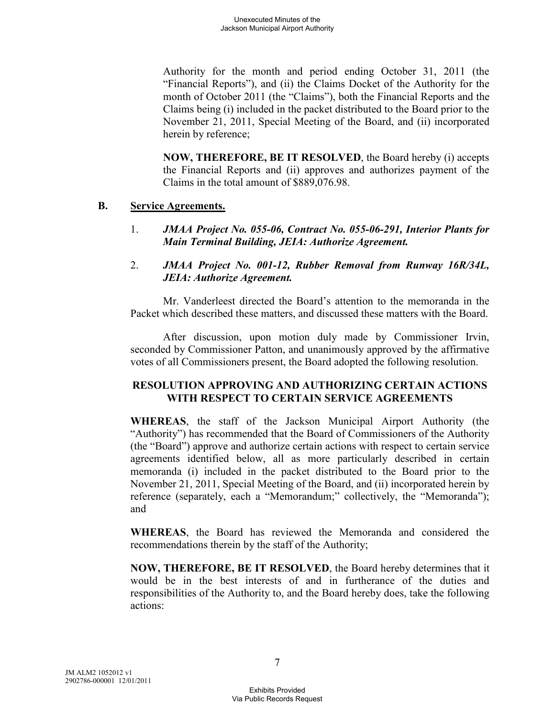Authority for the month and period ending October 31, 2011 (the "Financial Reports"), and (ii) the Claims Docket of the Authority for the month of October 2011 (the "Claims"), both the Financial Reports and the Claims being (i) included in the packet distributed to the Board prior to the November 21, 2011, Special Meeting of the Board, and (ii) incorporated herein by reference;

**NOW, THEREFORE, BE IT RESOLVED**, the Board hereby (i) accepts the Financial Reports and (ii) approves and authorizes payment of the Claims in the total amount of \$889,076.98.

### **B. Service Agreements.**

- 1. *JMAA Project No. 055-06, Contract No. 055-06-291, Interior Plants for Main Terminal Building, JEIA: Authorize Agreement.*
- 2. *JMAA Project No. 001-12, Rubber Removal from Runway 16R/34L, JEIA: Authorize Agreement.*

Mr. Vanderleest directed the Board's attention to the memoranda in the Packet which described these matters, and discussed these matters with the Board.

After discussion, upon motion duly made by Commissioner Irvin, seconded by Commissioner Patton, and unanimously approved by the affirmative votes of all Commissioners present, the Board adopted the following resolution.

## **RESOLUTION APPROVING AND AUTHORIZING CERTAIN ACTIONS WITH RESPECT TO CERTAIN SERVICE AGREEMENTS**

**WHEREAS**, the staff of the Jackson Municipal Airport Authority (the "Authority") has recommended that the Board of Commissioners of the Authority (the "Board") approve and authorize certain actions with respect to certain service agreements identified below, all as more particularly described in certain memoranda (i) included in the packet distributed to the Board prior to the November 21, 2011, Special Meeting of the Board, and (ii) incorporated herein by reference (separately, each a "Memorandum;" collectively, the "Memoranda"); and

**WHEREAS**, the Board has reviewed the Memoranda and considered the recommendations therein by the staff of the Authority;

**NOW, THEREFORE, BE IT RESOLVED**, the Board hereby determines that it would be in the best interests of and in furtherance of the duties and responsibilities of the Authority to, and the Board hereby does, take the following actions: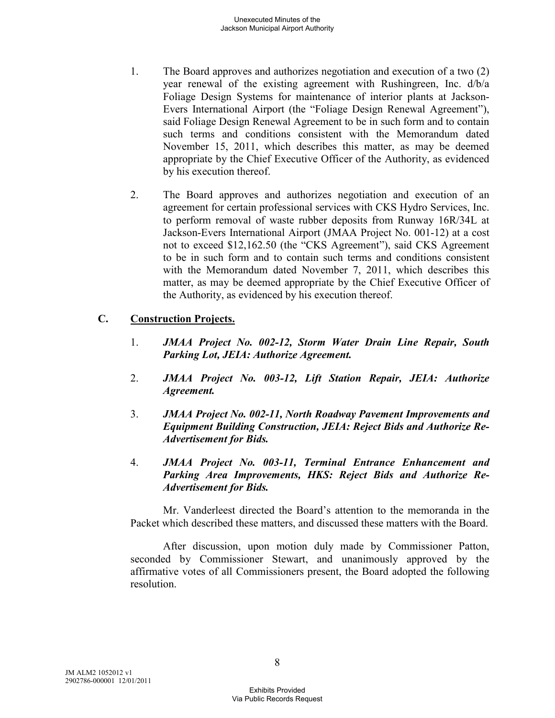- 1. The Board approves and authorizes negotiation and execution of a two (2) year renewal of the existing agreement with Rushingreen, Inc. d/b/a Foliage Design Systems for maintenance of interior plants at Jackson-Evers International Airport (the "Foliage Design Renewal Agreement"), said Foliage Design Renewal Agreement to be in such form and to contain such terms and conditions consistent with the Memorandum dated November 15, 2011, which describes this matter, as may be deemed appropriate by the Chief Executive Officer of the Authority, as evidenced by his execution thereof.
- 2. The Board approves and authorizes negotiation and execution of an agreement for certain professional services with CKS Hydro Services, Inc. to perform removal of waste rubber deposits from Runway 16R/34L at Jackson-Evers International Airport (JMAA Project No. 001-12) at a cost not to exceed \$12,162.50 (the "CKS Agreement"), said CKS Agreement to be in such form and to contain such terms and conditions consistent with the Memorandum dated November 7, 2011, which describes this matter, as may be deemed appropriate by the Chief Executive Officer of the Authority, as evidenced by his execution thereof.

### **C. Construction Projects.**

- 1. *JMAA Project No. 002-12, Storm Water Drain Line Repair, South Parking Lot, JEIA: Authorize Agreement.*
- 2. *JMAA Project No. 003-12, Lift Station Repair, JEIA: Authorize Agreement.*
- 3. *JMAA Project No. 002-11, North Roadway Pavement Improvements and Equipment Building Construction, JEIA: Reject Bids and Authorize Re-Advertisement for Bids.*
- 4. *JMAA Project No. 003-11, Terminal Entrance Enhancement and Parking Area Improvements, HKS: Reject Bids and Authorize Re-Advertisement for Bids.*

Mr. Vanderleest directed the Board's attention to the memoranda in the Packet which described these matters, and discussed these matters with the Board.

After discussion, upon motion duly made by Commissioner Patton, seconded by Commissioner Stewart, and unanimously approved by the affirmative votes of all Commissioners present, the Board adopted the following resolution.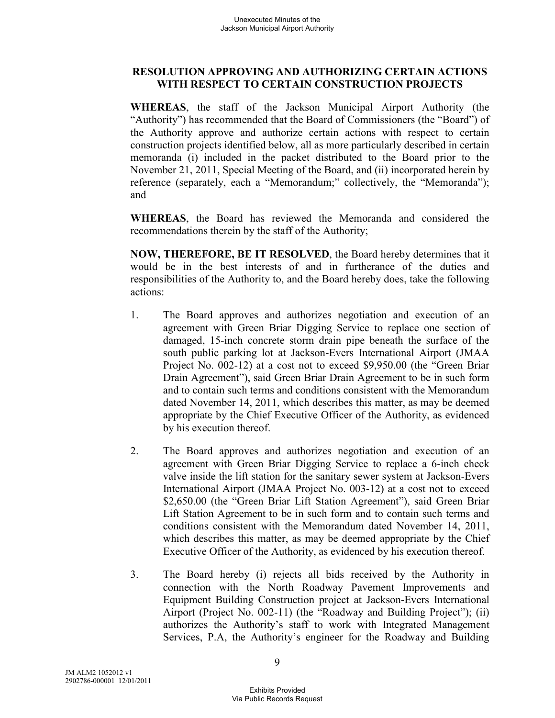### **RESOLUTION APPROVING AND AUTHORIZING CERTAIN ACTIONS WITH RESPECT TO CERTAIN CONSTRUCTION PROJECTS**

**WHEREAS**, the staff of the Jackson Municipal Airport Authority (the "Authority") has recommended that the Board of Commissioners (the "Board") of the Authority approve and authorize certain actions with respect to certain construction projects identified below, all as more particularly described in certain memoranda (i) included in the packet distributed to the Board prior to the November 21, 2011, Special Meeting of the Board, and (ii) incorporated herein by reference (separately, each a "Memorandum;" collectively, the "Memoranda"); and

**WHEREAS**, the Board has reviewed the Memoranda and considered the recommendations therein by the staff of the Authority;

**NOW, THEREFORE, BE IT RESOLVED**, the Board hereby determines that it would be in the best interests of and in furtherance of the duties and responsibilities of the Authority to, and the Board hereby does, take the following actions:

- 1. The Board approves and authorizes negotiation and execution of an agreement with Green Briar Digging Service to replace one section of damaged, 15-inch concrete storm drain pipe beneath the surface of the south public parking lot at Jackson-Evers International Airport (JMAA Project No. 002-12) at a cost not to exceed \$9,950.00 (the "Green Briar Drain Agreement"), said Green Briar Drain Agreement to be in such form and to contain such terms and conditions consistent with the Memorandum dated November 14, 2011, which describes this matter, as may be deemed appropriate by the Chief Executive Officer of the Authority, as evidenced by his execution thereof.
- 2. The Board approves and authorizes negotiation and execution of an agreement with Green Briar Digging Service to replace a 6-inch check valve inside the lift station for the sanitary sewer system at Jackson-Evers International Airport (JMAA Project No. 003-12) at a cost not to exceed \$2,650.00 (the "Green Briar Lift Station Agreement"), said Green Briar Lift Station Agreement to be in such form and to contain such terms and conditions consistent with the Memorandum dated November 14, 2011, which describes this matter, as may be deemed appropriate by the Chief Executive Officer of the Authority, as evidenced by his execution thereof.
- 3. The Board hereby (i) rejects all bids received by the Authority in connection with the North Roadway Pavement Improvements and Equipment Building Construction project at Jackson-Evers International Airport (Project No. 002-11) (the "Roadway and Building Project"); (ii) authorizes the Authority's staff to work with Integrated Management Services, P.A, the Authority's engineer for the Roadway and Building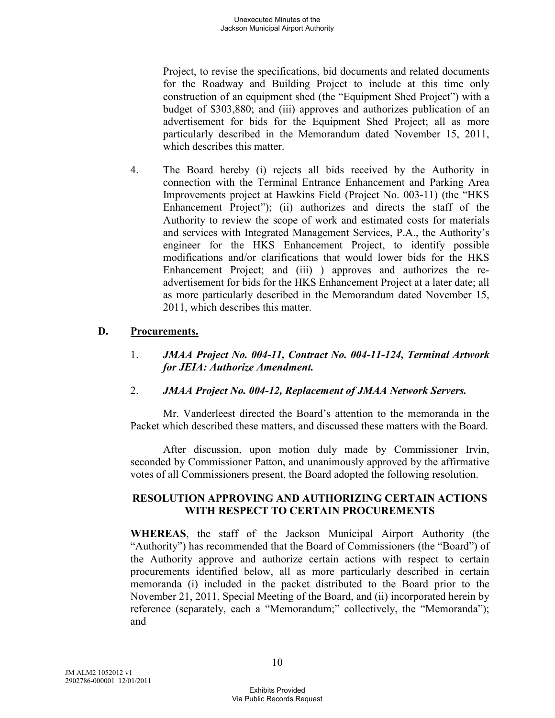Project, to revise the specifications, bid documents and related documents for the Roadway and Building Project to include at this time only construction of an equipment shed (the "Equipment Shed Project") with a budget of \$303,880; and (iii) approves and authorizes publication of an advertisement for bids for the Equipment Shed Project; all as more particularly described in the Memorandum dated November 15, 2011, which describes this matter.

4. The Board hereby (i) rejects all bids received by the Authority in connection with the Terminal Entrance Enhancement and Parking Area Improvements project at Hawkins Field (Project No. 003-11) (the "HKS Enhancement Project"); (ii) authorizes and directs the staff of the Authority to review the scope of work and estimated costs for materials and services with Integrated Management Services, P.A., the Authority's engineer for the HKS Enhancement Project, to identify possible modifications and/or clarifications that would lower bids for the HKS Enhancement Project; and (iii) ) approves and authorizes the readvertisement for bids for the HKS Enhancement Project at a later date; all as more particularly described in the Memorandum dated November 15, 2011, which describes this matter.

### **D. Procurements.**

### 1. *JMAA Project No. 004-11, Contract No. 004-11-124, Terminal Artwork for JEIA: Authorize Amendment.*

## 2. *JMAA Project No. 004-12, Replacement of JMAA Network Servers.*

Mr. Vanderleest directed the Board's attention to the memoranda in the Packet which described these matters, and discussed these matters with the Board.

After discussion, upon motion duly made by Commissioner Irvin, seconded by Commissioner Patton, and unanimously approved by the affirmative votes of all Commissioners present, the Board adopted the following resolution.

#### **RESOLUTION APPROVING AND AUTHORIZING CERTAIN ACTIONS WITH RESPECT TO CERTAIN PROCUREMENTS**

**WHEREAS**, the staff of the Jackson Municipal Airport Authority (the "Authority") has recommended that the Board of Commissioners (the "Board") of the Authority approve and authorize certain actions with respect to certain procurements identified below, all as more particularly described in certain memoranda (i) included in the packet distributed to the Board prior to the November 21, 2011, Special Meeting of the Board, and (ii) incorporated herein by reference (separately, each a "Memorandum;" collectively, the "Memoranda"); and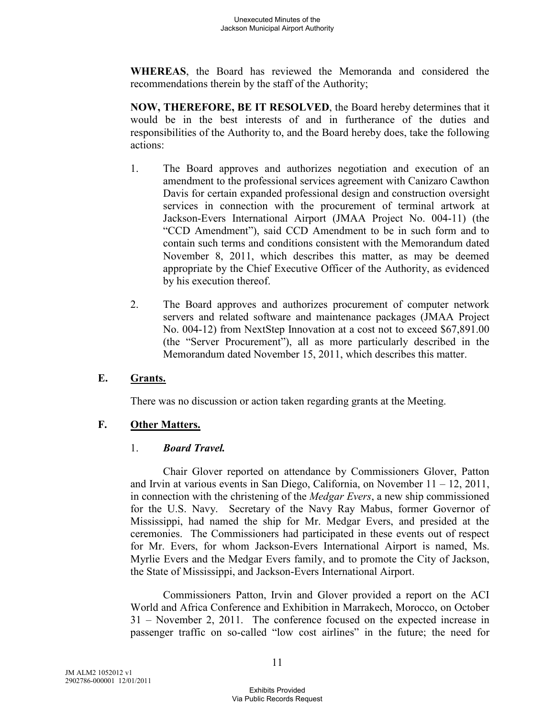**WHEREAS**, the Board has reviewed the Memoranda and considered the recommendations therein by the staff of the Authority;

**NOW, THEREFORE, BE IT RESOLVED**, the Board hereby determines that it would be in the best interests of and in furtherance of the duties and responsibilities of the Authority to, and the Board hereby does, take the following actions:

- 1. The Board approves and authorizes negotiation and execution of an amendment to the professional services agreement with Canizaro Cawthon Davis for certain expanded professional design and construction oversight services in connection with the procurement of terminal artwork at Jackson-Evers International Airport (JMAA Project No. 004-11) (the "CCD Amendment"), said CCD Amendment to be in such form and to contain such terms and conditions consistent with the Memorandum dated November 8, 2011, which describes this matter, as may be deemed appropriate by the Chief Executive Officer of the Authority, as evidenced by his execution thereof.
- 2. The Board approves and authorizes procurement of computer network servers and related software and maintenance packages (JMAA Project No. 004-12) from NextStep Innovation at a cost not to exceed \$67,891.00 (the "Server Procurement"), all as more particularly described in the Memorandum dated November 15, 2011, which describes this matter.

## **E. Grants.**

There was no discussion or action taken regarding grants at the Meeting.

## **F. Other Matters.**

#### 1. *Board Travel.*

Chair Glover reported on attendance by Commissioners Glover, Patton and Irvin at various events in San Diego, California, on November  $11 - 12$ , 2011, in connection with the christening of the *Medgar Evers*, a new ship commissioned for the U.S. Navy. Secretary of the Navy Ray Mabus, former Governor of Mississippi, had named the ship for Mr. Medgar Evers, and presided at the ceremonies. The Commissioners had participated in these events out of respect for Mr. Evers, for whom Jackson-Evers International Airport is named, Ms. Myrlie Evers and the Medgar Evers family, and to promote the City of Jackson, the State of Mississippi, and Jackson-Evers International Airport.

Commissioners Patton, Irvin and Glover provided a report on the ACI World and Africa Conference and Exhibition in Marrakech, Morocco, on October 31 – November 2, 2011. The conference focused on the expected increase in passenger traffic on so-called "low cost airlines" in the future; the need for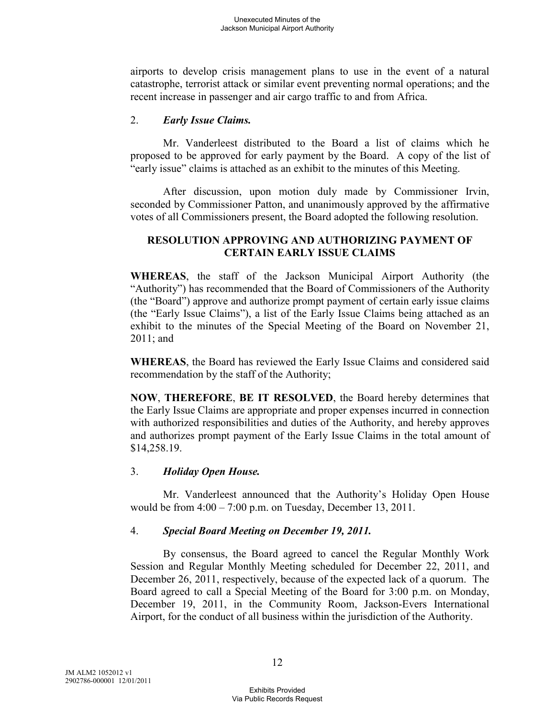airports to develop crisis management plans to use in the event of a natural catastrophe, terrorist attack or similar event preventing normal operations; and the recent increase in passenger and air cargo traffic to and from Africa.

### 2. *Early Issue Claims.*

Mr. Vanderleest distributed to the Board a list of claims which he proposed to be approved for early payment by the Board. A copy of the list of "early issue" claims is attached as an exhibit to the minutes of this Meeting.

After discussion, upon motion duly made by Commissioner Irvin, seconded by Commissioner Patton, and unanimously approved by the affirmative votes of all Commissioners present, the Board adopted the following resolution.

### **RESOLUTION APPROVING AND AUTHORIZING PAYMENT OF CERTAIN EARLY ISSUE CLAIMS**

**WHEREAS**, the staff of the Jackson Municipal Airport Authority (the "Authority") has recommended that the Board of Commissioners of the Authority (the "Board") approve and authorize prompt payment of certain early issue claims (the "Early Issue Claims"), a list of the Early Issue Claims being attached as an exhibit to the minutes of the Special Meeting of the Board on November 21, 2011; and

**WHEREAS**, the Board has reviewed the Early Issue Claims and considered said recommendation by the staff of the Authority;

**NOW**, **THEREFORE**, **BE IT RESOLVED**, the Board hereby determines that the Early Issue Claims are appropriate and proper expenses incurred in connection with authorized responsibilities and duties of the Authority, and hereby approves and authorizes prompt payment of the Early Issue Claims in the total amount of \$14,258.19.

## 3. *Holiday Open House.*

Mr. Vanderleest announced that the Authority's Holiday Open House would be from  $4:00 - 7:00$  p.m. on Tuesday, December 13, 2011.

## 4. *Special Board Meeting on December 19, 2011.*

By consensus, the Board agreed to cancel the Regular Monthly Work Session and Regular Monthly Meeting scheduled for December 22, 2011, and December 26, 2011, respectively, because of the expected lack of a quorum. The Board agreed to call a Special Meeting of the Board for 3:00 p.m. on Monday, December 19, 2011, in the Community Room, Jackson-Evers International Airport, for the conduct of all business within the jurisdiction of the Authority.